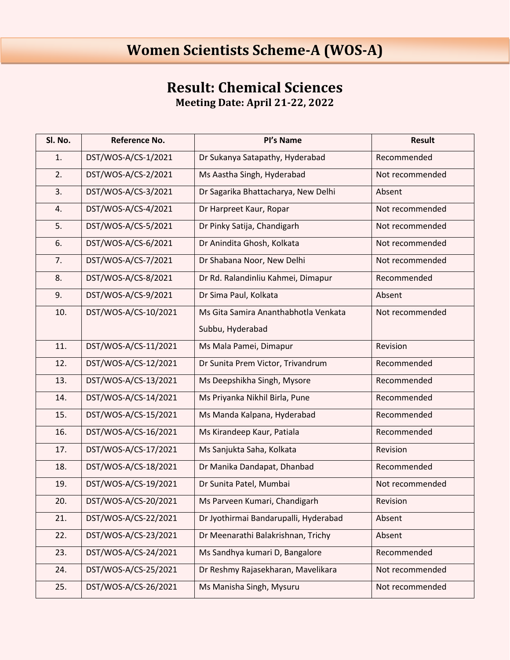## **Women Scientists Scheme-A (WOS-A)**

## **Result: Chemical Sciences Meeting Date: April 21-22, 2022**

| Sl. No. | <b>Reference No.</b> | Pl's Name                             | <b>Result</b>   |
|---------|----------------------|---------------------------------------|-----------------|
| 1.      | DST/WOS-A/CS-1/2021  | Dr Sukanya Satapathy, Hyderabad       | Recommended     |
| 2.      | DST/WOS-A/CS-2/2021  | Ms Aastha Singh, Hyderabad            | Not recommended |
| 3.      | DST/WOS-A/CS-3/2021  | Dr Sagarika Bhattacharya, New Delhi   | Absent          |
| 4.      | DST/WOS-A/CS-4/2021  | Dr Harpreet Kaur, Ropar               | Not recommended |
| 5.      | DST/WOS-A/CS-5/2021  | Dr Pinky Satija, Chandigarh           | Not recommended |
| 6.      | DST/WOS-A/CS-6/2021  | Dr Anindita Ghosh, Kolkata            | Not recommended |
| 7.      | DST/WOS-A/CS-7/2021  | Dr Shabana Noor, New Delhi            | Not recommended |
| 8.      | DST/WOS-A/CS-8/2021  | Dr Rd. Ralandinliu Kahmei, Dimapur    | Recommended     |
| 9.      | DST/WOS-A/CS-9/2021  | Dr Sima Paul, Kolkata                 | Absent          |
| 10.     | DST/WOS-A/CS-10/2021 | Ms Gita Samira Ananthabhotla Venkata  | Not recommended |
|         |                      | Subbu, Hyderabad                      |                 |
| 11.     | DST/WOS-A/CS-11/2021 | Ms Mala Pamei, Dimapur                | Revision        |
| 12.     | DST/WOS-A/CS-12/2021 | Dr Sunita Prem Victor, Trivandrum     | Recommended     |
| 13.     | DST/WOS-A/CS-13/2021 | Ms Deepshikha Singh, Mysore           | Recommended     |
| 14.     | DST/WOS-A/CS-14/2021 | Ms Priyanka Nikhil Birla, Pune        | Recommended     |
| 15.     | DST/WOS-A/CS-15/2021 | Ms Manda Kalpana, Hyderabad           | Recommended     |
| 16.     | DST/WOS-A/CS-16/2021 | Ms Kirandeep Kaur, Patiala            | Recommended     |
| 17.     | DST/WOS-A/CS-17/2021 | Ms Sanjukta Saha, Kolkata             | Revision        |
| 18.     | DST/WOS-A/CS-18/2021 | Dr Manika Dandapat, Dhanbad           | Recommended     |
| 19.     | DST/WOS-A/CS-19/2021 | Dr Sunita Patel, Mumbai               | Not recommended |
| 20.     | DST/WOS-A/CS-20/2021 | Ms Parveen Kumari, Chandigarh         | Revision        |
| 21.     | DST/WOS-A/CS-22/2021 | Dr Jyothirmai Bandarupalli, Hyderabad | Absent          |
| 22.     | DST/WOS-A/CS-23/2021 | Dr Meenarathi Balakrishnan, Trichy    | Absent          |
| 23.     | DST/WOS-A/CS-24/2021 | Ms Sandhya kumari D, Bangalore        | Recommended     |
| 24.     | DST/WOS-A/CS-25/2021 | Dr Reshmy Rajasekharan, Mavelikara    | Not recommended |
| 25.     | DST/WOS-A/CS-26/2021 | Ms Manisha Singh, Mysuru              | Not recommended |